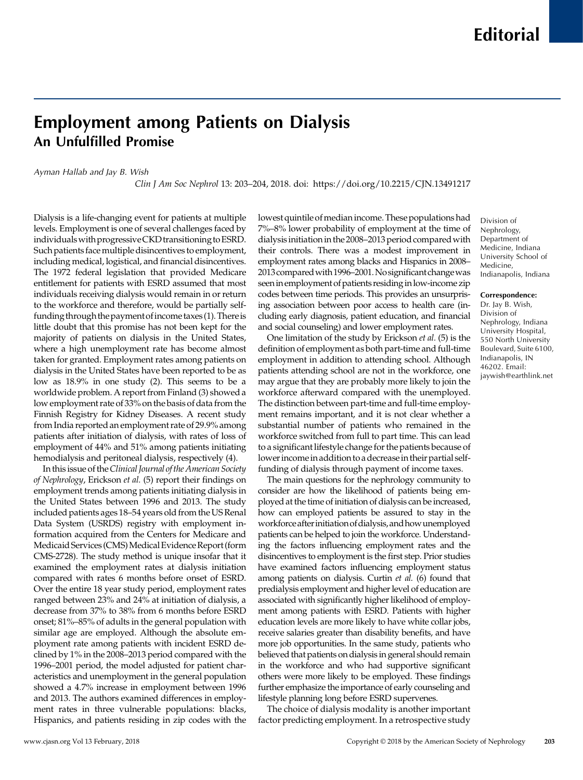## Employment among Patients on Dialysis An Unfulfilled Promise

Ayman Hallab and Jay B. Wish

Clin J Am Soc Nephrol 13: 203–204, 2018. doi:<https://doi.org/10.2215/CJN.13491217>

Dialysis is a life-changing event for patients at multiple levels. Employment is one of several challenges faced by individuals with progressive CKD transitioning to ESRD. Such patients face multiple disincentives to employment, including medical, logistical, and financial disincentives. The 1972 federal legislation that provided Medicare entitlement for patients with ESRD assumed that most individuals receiving dialysis would remain in or return to the workforce and therefore, would be partially selffunding through thepaymentofincome taxes (1). Thereis little doubt that this promise has not been kept for the majority of patients on dialysis in the United States, where a high unemployment rate has become almost taken for granted. Employment rates among patients on dialysis in the United States have been reported to be as low as 18.9% in one study (2). This seems to be a worldwide problem. A report from Finland (3) showed a low employment rate of 33% on the basis of data from the Finnish Registry for Kidney Diseases. A recent study from India reported an employment rate of 29.9% among patients after initiation of dialysis, with rates of loss of employment of 44% and 51% among patients initiating hemodialysis and peritoneal dialysis, respectively (4).

In this issue of theClinical Journal of the American Society of Nephrology, Erickson et al. (5) report their findings on employment trends among patients initiating dialysis in the United States between 1996 and 2013. The study included patients ages 18–54 years old from the US Renal Data System (USRDS) registry with employment information acquired from the Centers for Medicare and Medicaid Services (CMS) Medical Evidence Report (form CMS-2728). The study method is unique insofar that it examined the employment rates at dialysis initiation compared with rates 6 months before onset of ESRD. Over the entire 18 year study period, employment rates ranged between 23% and 24% at initiation of dialysis, a decrease from 37% to 38% from 6 months before ESRD onset; 81%–85% of adults in the general population with similar age are employed. Although the absolute employment rate among patients with incident ESRD declined by 1% in the 2008–2013 period compared with the 1996–2001 period, the model adjusted for patient characteristics and unemployment in the general population showed a 4.7% increase in employment between 1996 and 2013. The authors examined differences in employment rates in three vulnerable populations: blacks, Hispanics, and patients residing in zip codes with the

lowest quintile of median income. These populations had 7%–8% lower probability of employment at the time of dialysis initiation in the 2008–2013 period compared with their controls. There was a modest improvement in employment rates among blacks and Hispanics in 2008– 2013comparedwith 1996–2001.Nosignificantchangewas seen in employment of patients residing in low-income zip codes between time periods. This provides an unsurprising association between poor access to health care (including early diagnosis, patient education, and financial and social counseling) and lower employment rates.

One limitation of the study by Erickson et al. (5) is the definition of employment as both part-time and full-time employment in addition to attending school. Although patients attending school are not in the workforce, one may argue that they are probably more likely to join the workforce afterward compared with the unemployed. The distinction between part-time and full-time employment remains important, and it is not clear whether a substantial number of patients who remained in the workforce switched from full to part time. This can lead to a significant lifestyle change for the patients because of lower income in addition to a decrease in their partial selffunding of dialysis through payment of income taxes.

The main questions for the nephrology community to consider are how the likelihood of patients being employed at the time of initiation of dialysis can be increased, how can employed patients be assured to stay in the workforce afterinitiationofdialysis,andhowunemployed patients can be helped to join the workforce. Understanding the factors influencing employment rates and the disincentives to employment is the first step. Prior studies have examined factors influencing employment status among patients on dialysis. Curtin et al. (6) found that predialysis employment and higher level of education are associated with significantly higher likelihood of employment among patients with ESRD. Patients with higher education levels are more likely to have white collar jobs, receive salaries greater than disability benefits, and have more job opportunities. In the same study, patients who believed that patients on dialysis in general should remain in the workforce and who had supportive significant others were more likely to be employed. These findings further emphasize the importance of early counseling and lifestyle planning long before ESRD supervenes.

The choice of dialysis modality is another important factor predicting employment. In a retrospective study Division of Nephrology, Department of Medicine, Indiana University School of Medicine, Indianapolis, Indiana

## Correspondence:

Dr. Jay B. Wish, Division of Nephrology, Indiana University Hospital, 550 North University Boulevard, Suite 6100, Indianapolis, IN 46202. Email: [jaywish@earthlink.net](mailto:jaywish@earthlink.net)